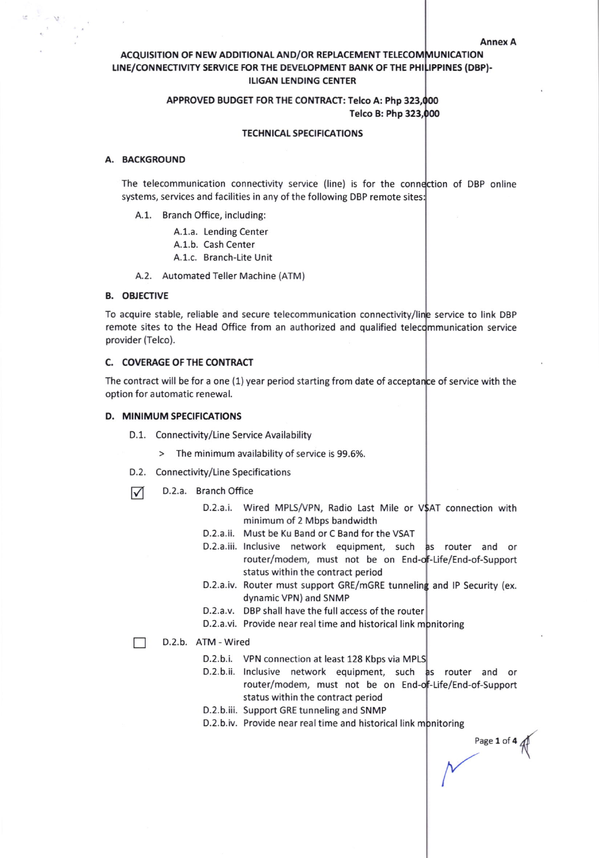Annex A

# ACQUISITION OF NEW ADDITIONAL AND/OR REPLACEMENT TELECOMMUNICATION LINE/CONNECTIVITY SERVICE FOR THE DEVELOPMENT BANK OF THE PHILIPPINES (DBP)-ILIGAN LENDING CENTER

# APPROVED BUDGET FOR THE CONTRACT: Telco A: Php 323,000 Telco B: Php 32

### **TECHNICAL SPECIFICATIONS**

### A. EACKGROUND

 $\bar{\Sigma}$ 

The telecommunication connectivity service (line) is for the connection of DBP online systems, services and facilities in any of the following DBP remote sites:

- A.1. Branch Office, including:
	- A.1.a. Lending Center
	- A.1.b. Cash Center
	- A.1.c. Branch-Lite Unit
- A.2. Automated Teller Machine (ATM)

### **B. OBJECTIVE**

To acquire stable, reliable and secure telecommunication connectivity/line service to link DBP remote sites to the Head Office from an authorized and qualified telecommunication service provider (Telco).

### C. COVERAGE OF THE CONTRACT

The contract will be for a one (1) year period starting from date of acceptan<mark>ce of service with the</mark> option for automatic renewal.

## D. MINIMUM SPECIFICATIONS

- D.1. Connectivity/Line Service Availability
	- > The minimum availability of service is 99.6%.
- D.2. Connectivity/Line Specifications
- $\nabla$  D.2.a. Branch Office
	- D.2.a.i. Wired MPLS/VPN, Radio Last Mile or V\$AT connection with minimum of 2 Mbps bandwidth
	- D.2.a.ii. Must be Ku Band or C Band for the VSAT
	- router/modem, must not be on En Life/End-of-Support status within the contract period D.2.a.iii. Inclusive network equipment, such as router and or
	- D.2.a.iv. Router must support GRE/mGRE tunneling and IP Security (ex. dynamic VPN) and SNMP
	- D.2.a.v. DBP shall have the full access of the router
	- D.2.a.vi. Provide near real time and historical link mpnitoring

#### D.2.b. ATM - Wired  $\Box$

- D.2.b.i. VPN connection at least 128 Kbps via MPLS
- D.2.b.ii. lnclusive network equipment, such router/modem, must not be on End-o<mark>f</mark>-Life/End-of-Suppor status within the contract period as router and or
- D.2.b.iii. Support GRE tunneling and SNMP
- D.2.b.iv. Provide near real time and historical link monitoring

Page 1 of 4 <sup>{</sup>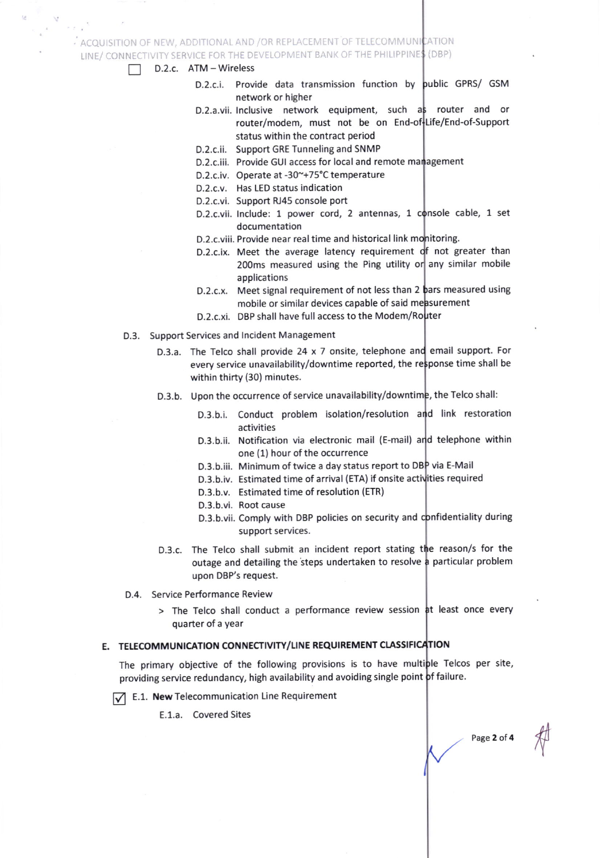# $\cdot$  ACOUISITION OF NEW, ADDITIONAL AND /OR REPLACEMENT OF TELECOMMUNICATION

LINE/ CONNECTIVITY SERVICE FOR THE DEVELOPMENT BANK OF THE PHILIPPINE\$ (DBP)

# D.2.c. ATM - Wireless

- D.2.c.i. Provide data transmission function by public GPRS/ GSM network or higher
	- router/modem, must not be on End-Life/End-of-Support status within the contract period D.2.a.vii. Inclusive network equipment, such a router and or
	- D.2.c.ii. Support GRE Tunneling and SNMP
	- D.2.c.iii. Provide GUI access for local and remote management
	- D.2.c.iv. Operate at -30~+75°C temperature
- D.2.c.v. Has LED status indication
- D.2.c.vi. Support RJ45 console port
- D.2.c.vii. Include: 1 power cord, 2 antennas, 1 console cable, 1 set documentation
- D.2.c.viii. Provide near real time and historical link mo<mark>nitorin</mark>g.
- D.2.c.ix. Meet the average latency requirement of not greater than 200ms measured using the Ping utility or any similar mobile applications
- D.2.c.x. Meet signal requirement of not less than 2 pars measured using mobile or similar devices capable of said measurement
- D.2.c.xi. DBP shall have full access to the Modem/Router
- D.3. Support Services and lncident Management
	- D.3.a. The Telco shall provide 24 x 7 onsite, telephone and email support. For every service unavailability/downtime reported, the ponse time shall be within thirty (30) minutes.
	- D.3.b. Upon the occurrence of service unavailability/downtime, the Telco shall:
		- D.3.b.i. Conduct problem isolation/resolution and link restoration activities
		- D.3.b.ii. Notification via electronic mail (E-mail) and telephone within one (1) hour of the occurrence
		- D.3.b.iii. Minimum of twice a day status report to DBP via E-Mail
		- D.3.b.iv. Estimated time of arrival (ETA) if onsite activities required
		- D.3.b.v. Estimated time of resolution (ETR)
		- D.3.b.vi. Root cause
		- D.3.b.vii. Comply with DBP policies on security and confidentiality during support services.
	- D.3.c. The Telco shall submit an incident report stating the reason/s for the outage and detailing the steps undertaken to resolve a particular problem upon DBP's request.
- D.4. Service Performance Review
	- > The Telco shall conduct a performance review session at least once every quarter of a year

# E. TELECOMMUNICATION CONNECTIVITY/LINE REQUIREMENT CLASSIFICATION

The primary objective of the following provisions is to have multiple Telcos per site, providing service redundancy, high availability and avoiding single point of failure.

 $\sqrt{\phantom{a}}$  E.1. New Telecommunication Line Requirement

E.1.a. Covered Sites

Page 2 of 4

tr